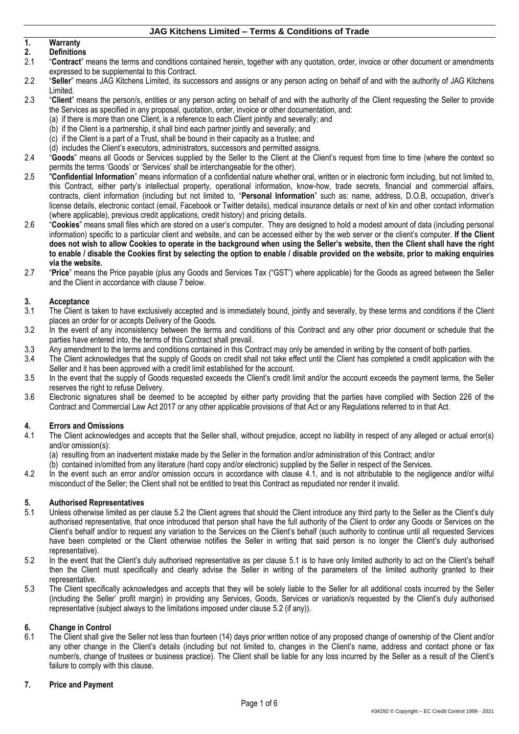# **1. Warranty**

- **2. Definitions** 2.1 "**Contract**" means the terms and conditions contained herein, together with any quotation, order, invoice or other document or amendments expressed to be supplemental to this Contract.
- 2.2 "**Seller**" means JAG Kitchens Limited, its successors and assigns or any person acting on behalf of and with the authority of JAG Kitchens Limited.
- 2.3 "**Client**" means the person/s, entities or any person acting on behalf of and with the authority of the Client requesting the Seller to provide the Services as specified in any proposal, quotation, order, invoice or other documentation, and:
	- (a) if there is more than one Client, is a reference to each Client jointly and severally; and
	- (b) if the Client is a partnership, it shall bind each partner jointly and severally; and
	- (c) if the Client is a part of a Trust, shall be bound in their capacity as a trustee; and
	- (d) includes the Client's executors, administrators, successors and permitted assigns.
- 2.4 "**Goods**" means all Goods or Services supplied by the Seller to the Client at the Client's request from time to time (where the context so permits the terms 'Goods' or 'Services' shall be interchangeable for the other).
- 2.5 "**Confidential Information**" means information of a confidential nature whether oral, written or in electronic form including, but not limited to, this Contract, either party's intellectual property, operational information, know-how, trade secrets, financial and commercial affairs, contracts, client information (including but not limited to, "**Personal Information**" such as: name, address, D.O.B, occupation, driver's license details, electronic contact (email, Facebook or Twitter details), medical insurance details or next of kin and other contact information (where applicable), previous credit applications, credit history) and pricing details.
- 2.6 "**Cookies**" means small files which are stored on a user's computer. They are designed to hold a modest amount of data (including personal information) specific to a particular client and website, and can be accessed either by the web server or the client's computer. **If the Client does not wish to allow Cookies to operate in the background when using the Seller's website, then the Client shall have the right to enable / disable the Cookies first by selecting the option to enable / disable provided on the website, prior to making enquiries via the website.**
- 2.7 "**Price**" means the Price payable (plus any Goods and Services Tax ("GST") where applicable) for the Goods as agreed between the Seller and the Client in accordance with clause [7](#page-0-0) below.

### **3. Acceptance**

- 3.1 The Client is taken to have exclusively accepted and is immediately bound, jointly and severally, by these terms and conditions if the Client places an order for or accepts Delivery of the Goods.
- 3.2 In the event of any inconsistency between the terms and conditions of this Contract and any other prior document or schedule that the parties have entered into, the terms of this Contract shall prevail.
- 3.3 Any amendment to the terms and conditions contained in this Contract may only be amended in writing by the consent of both parties.
- 3.4 The Client acknowledges that the supply of Goods on credit shall not take effect until the Client has completed a credit application with the Seller and it has been approved with a credit limit established for the account.
- 3.5 In the event that the supply of Goods requested exceeds the Client's credit limit and/or the account exceeds the payment terms, the Seller reserves the right to refuse Delivery.
- 3.6 Electronic signatures shall be deemed to be accepted by either party providing that the parties have complied with Section 226 of the Contract and Commercial Law Act 2017 or any other applicable provisions of that Act or any Regulations referred to in that Act.

## **4. Errors and Omissions**

<span id="page-0-1"></span>4.1 The Client acknowledges and accepts that the Seller shall, without prejudice, accept no liability in respect of any alleged or actual error(s) and/or omission(s):

(a) resulting from an inadvertent mistake made by the Seller in the formation and/or administration of this Contract; and/or

- (b) contained in/omitted from any literature (hard copy and/or electronic) supplied by the Seller in respect of the Services.
- 4.2 In the event such an error and/or omission occurs in accordance with clause [4.1,](#page-0-1) and is not attributable to the negligence and/or wilful misconduct of the Seller; the Client shall not be entitled to treat this Contract as repudiated nor render it invalid.

## **5. Authorised Representatives**

- <span id="page-0-3"></span>Unless otherwise limited as per clause [5.2](#page-0-2) the Client agrees that should the Client introduce any third party to the Seller as the Client's duly authorised representative, that once introduced that person shall have the full authority of the Client to order any Goods or Services on the Client's behalf and/or to request any variation to the Services on the Client's behalf (such authority to continue until all requested Services have been completed or the Client otherwise notifies the Seller in writing that said person is no longer the Client's duly authorised representative).
- <span id="page-0-2"></span>5.2 In the event that the Client's duly authorised representative as per clause [5.1](#page-0-3) is to have only limited authority to act on the Client's behalf then the Client must specifically and clearly advise the Seller in writing of the parameters of the limited authority granted to their representative.
- 5.3 The Client specifically acknowledges and accepts that they will be solely liable to the Seller for all additional costs incurred by the Seller (including the Seller' profit margin) in providing any Services, Goods, Services or variation/s requested by the Client's duly authorised representative (subject always to the limitations imposed under clause [5.2](#page-0-2) (if any)).

## **6. Change in Control**

The Client shall give the Seller not less than fourteen (14) days prior written notice of any proposed change of ownership of the Client and/or any other change in the Client's details (including but not limited to, changes in the Client's name, address and contact phone or fax number/s, change of trustees or business practice). The Client shall be liable for any loss incurred by the Seller as a result of the Client's failure to comply with this clause.

### <span id="page-0-0"></span>**7. Price and Payment**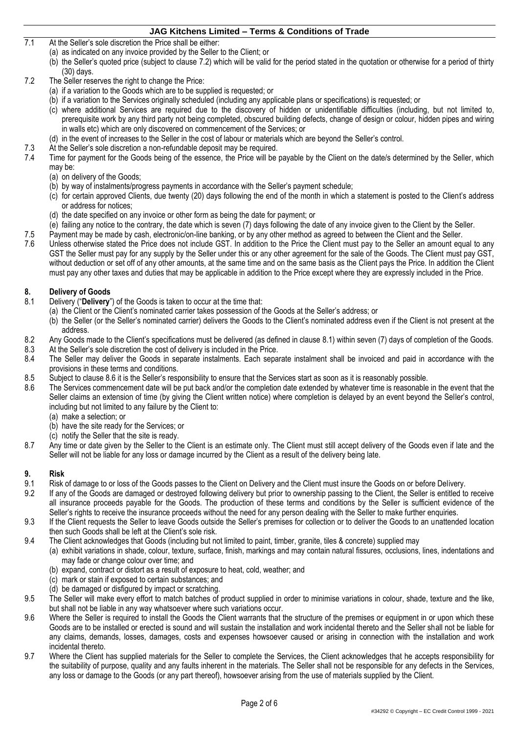- 7.1 At the Seller's sole discretion the Price shall be either:
	- (a) as indicated on any invoice provided by the Seller to the Client; or
	- (b) the Seller's quoted price (subject to clause [7.2\)](#page-1-0) which will be valid for the period stated in the quotation or otherwise for a period of thirty (30) days.
- <span id="page-1-0"></span>7.2 The Seller reserves the right to change the Price:
	- (a) if a variation to the Goods which are to be supplied is requested; or
	- (b) if a variation to the Services originally scheduled (including any applicable plans or specifications) is requested; or
	- (c) where additional Services are required due to the discovery of hidden or unidentifiable difficulties (including, but not limited to, prerequisite work by any third party not being completed, obscured building defects, change of design or colour, hidden pipes and wiring in walls etc) which are only discovered on commencement of the Services; or
	- (d) in the event of increases to the Seller in the cost of labour or materials which are beyond the Seller's control.
- 7.3 At the Seller's sole discretion a non-refundable deposit may be required.<br>7.4 Time for payment for the Goods being of the essence, the Price will be
- Time for payment for the Goods being of the essence, the Price will be payable by the Client on the date/s determined by the Seller, which may be:
	- (a) on delivery of the Goods;
	- (b) by way of instalments/progress payments in accordance with the Seller's payment schedule;
	- (c) for certain approved Clients, due twenty (20) days following the end of the month in which a statement is posted to the Client's address or address for notices;
	- (d) the date specified on any invoice or other form as being the date for payment; or
	- (e) failing any notice to the contrary, the date which is seven (7) days following the date of any invoice given to the Client by the Seller.
	-
- 7.5 Payment may be made by cash, electronic/on-line banking, or by any other method as agreed to between the Client and the Seller.<br>7.6 Unless otherwise stated the Price does not include GST. In addition to the Price the C Unless otherwise stated the Price does not include GST. In addition to the Price the Client must pay to the Seller an amount equal to any GST the Seller must pay for any supply by the Seller under this or any other agreement for the sale of the Goods. The Client must pay GST, without deduction or set off of any other amounts, at the same time and on the same basis as the Client pays the Price. In addition the Client must pay any other taxes and duties that may be applicable in addition to the Price except where they are expressly included in the Price.

# **8. Delivery of Goods**

- <span id="page-1-1"></span>8.1 Delivery ("**Delivery**") of the Goods is taken to occur at the time that:
	- (a) the Client or the Client's nominated carrier takes possession of the Goods at the Seller's address; or
		- (b) the Seller (or the Seller's nominated carrier) delivers the Goods to the Client's nominated address even if the Client is not present at the address.
- 8.2 Any Goods made to the Client's specifications must be delivered (as defined in clause [8.1\)](#page-1-1) within seven (7) days of completion of the Goods.
- 8.3 At the Seller's sole discretion the cost of delivery is included in the Price.
- 8.4 The Seller may deliver the Goods in separate instalments. Each separate instalment shall be invoiced and paid in accordance with the provisions in these terms and conditions.
- 8.5 Subject to clause [8.6](#page-1-2) it is the Seller's responsibility to ensure that the Services start as soon as it is reasonably possible.<br>8.6 The Services commencement date will be put back and/or the completion date extended by
- <span id="page-1-2"></span>The Services commencement date will be put back and/or the completion date extended by whatever time is reasonable in the event that the Seller claims an extension of time (by giving the Client written notice) where completion is delayed by an event beyond the Seller's control, including but not limited to any failure by the Client to:
	- (a) make a selection; or
	- (b) have the site ready for the Services; or
	- (c) notify the Seller that the site is ready.
- 8.7 Any time or date given by the Seller to the Client is an estimate only. The Client must still accept delivery of the Goods even if late and the Seller will not be liable for any loss or damage incurred by the Client as a result of the delivery being late.

## **9. Risk**

- 9.1 Risk of damage to or loss of the Goods passes to the Client on Delivery and the Client must insure the Goods on or before Delivery.<br>9.2 If any of the Goods are damaged or destroved following delivery but prior to owner
- 9.2 If any of the Goods are damaged or destroyed following delivery but prior to ownership passing to the Client, the Seller is entitled to receive all insurance proceeds payable for the Goods. The production of these terms and conditions by the Seller is sufficient evidence of the Seller's rights to receive the insurance proceeds without the need for any person dealing with the Seller to make further enquiries.
- 9.3 If the Client requests the Seller to leave Goods outside the Seller's premises for collection or to deliver the Goods to an unattended location then such Goods shall be left at the Client's sole risk.
- 9.4 The Client acknowledges that Goods (including but not limited to paint, timber, granite, tiles & concrete) supplied may
	- (a) exhibit variations in shade, colour, texture, surface, finish, markings and may contain natural fissures, occlusions, lines, indentations and may fade or change colour over time; and
		- (b) expand, contract or distort as a result of exposure to heat, cold, weather; and
		- (c) mark or stain if exposed to certain substances; and
		- (d) be damaged or disfigured by impact or scratching.
- 9.5 The Seller will make every effort to match batches of product supplied in order to minimise variations in colour, shade, texture and the like, but shall not be liable in any way whatsoever where such variations occur.
- 9.6 Where the Seller is required to install the Goods the Client warrants that the structure of the premises or equipment in or upon which these Goods are to be installed or erected is sound and will sustain the installation and work incidental thereto and the Seller shall not be liable for any claims, demands, losses, damages, costs and expenses howsoever caused or arising in connection with the installation and work incidental thereto.
- 9.7 Where the Client has supplied materials for the Seller to complete the Services, the Client acknowledges that he accepts responsibility for the suitability of purpose, quality and any faults inherent in the materials. The Seller shall not be responsible for any defects in the Services, any loss or damage to the Goods (or any part thereof), howsoever arising from the use of materials supplied by the Client.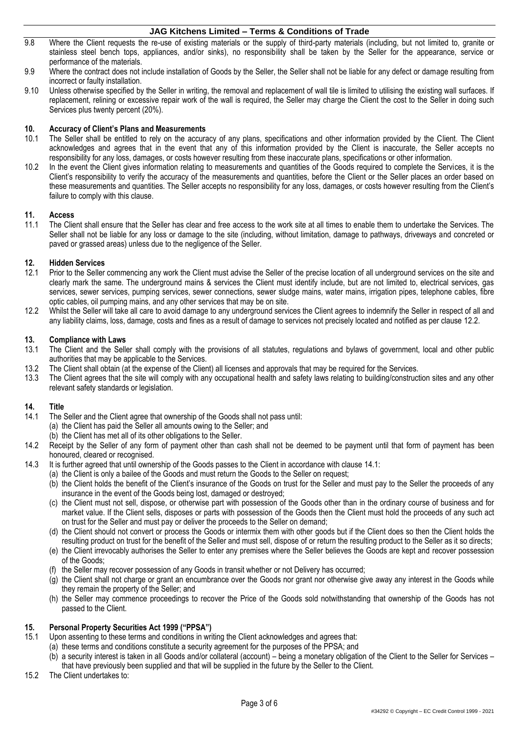- 9.8 Where the Client requests the re-use of existing materials or the supply of third-party materials (including, but not limited to, granite or stainless steel bench tops, appliances, and/or sinks), no responsibility shall be taken by the Seller for the appearance, service or performance of the materials.
- 9.9 Where the contract does not include installation of Goods by the Seller, the Seller shall not be liable for any defect or damage resulting from incorrect or faulty installation.
- 9.10 Unless otherwise specified by the Seller in writing, the removal and replacement of wall tile is limited to utilising the existing wall surfaces. If replacement, relining or excessive repair work of the wall is required, the Seller may charge the Client the cost to the Seller in doing such Services plus twenty percent (20%).

## **10. Accuracy of Client's Plans and Measurements**

- The Seller shall be entitled to rely on the accuracy of any plans, specifications and other information provided by the Client. The Client acknowledges and agrees that in the event that any of this information provided by the Client is inaccurate, the Seller accepts no responsibility for any loss, damages, or costs however resulting from these inaccurate plans, specifications or other information.
- 10.2 In the event the Client gives information relating to measurements and quantities of the Goods required to complete the Services, it is the Client's responsibility to verify the accuracy of the measurements and quantities, before the Client or the Seller places an order based on these measurements and quantities. The Seller accepts no responsibility for any loss, damages, or costs however resulting from the Client's failure to comply with this clause.

# **11. Access**

11.1 The Client shall ensure that the Seller has clear and free access to the work site at all times to enable them to undertake the Services. The Seller shall not be liable for any loss or damage to the site (including, without limitation, damage to pathways, driveways and concreted or paved or grassed areas) unless due to the negligence of the Seller.

# **12. Hidden Services**

- Prior to the Seller commencing any work the Client must advise the Seller of the precise location of all underground services on the site and clearly mark the same. The underground mains & services the Client must identify include, but are not limited to, electrical services, gas services, sewer services, pumping services, sewer connections, sewer sludge mains, water mains, irrigation pipes, telephone cables, fibre optic cables, oil pumping mains, and any other services that may be on site.
- <span id="page-2-0"></span>12.2 Whilst the Seller will take all care to avoid damage to any underground services the Client agrees to indemnify the Seller in respect of all and any liability claims, loss, damage, costs and fines as a result of damage to services not precisely located and notified as per clause [12.2.](#page-2-0)

#### **13. Compliance with Laws**

- 13.1 The Client and the Seller shall comply with the provisions of all statutes, regulations and bylaws of government, local and other public authorities that may be applicable to the Services.
- 13.2 The Client shall obtain (at the expense of the Client) all licenses and approvals that may be required for the Services.<br>13.3 The Client agrees that the site will comply with any occupational health and safety laws re
- 13.3 The Client agrees that the site will comply with any occupational health and safety laws relating to building/construction sites and any other relevant safety standards or legislation.

## **14. Title**

- <span id="page-2-1"></span>The Seller and the Client agree that ownership of the Goods shall not pass until:
	- (a) the Client has paid the Seller all amounts owing to the Seller; and
	- (b) the Client has met all of its other obligations to the Seller.
- 14.2 Receipt by the Seller of any form of payment other than cash shall not be deemed to be payment until that form of payment has been honoured, cleared or recognised.
- 14.3 It is further agreed that until ownership of the Goods passes to the Client in accordance with clause [14.1:](#page-2-1)
	- (a) the Client is only a bailee of the Goods and must return the Goods to the Seller on request;
		- (b) the Client holds the benefit of the Client's insurance of the Goods on trust for the Seller and must pay to the Seller the proceeds of any insurance in the event of the Goods being lost, damaged or destroyed;
		- (c) the Client must not sell, dispose, or otherwise part with possession of the Goods other than in the ordinary course of business and for market value. If the Client sells, disposes or parts with possession of the Goods then the Client must hold the proceeds of any such act on trust for the Seller and must pay or deliver the proceeds to the Seller on demand;
		- (d) the Client should not convert or process the Goods or intermix them with other goods but if the Client does so then the Client holds the resulting product on trust for the benefit of the Seller and must sell, dispose of or return the resulting product to the Seller as it so directs;
		- (e) the Client irrevocably authorises the Seller to enter any premises where the Seller believes the Goods are kept and recover possession of the Goods;
		- (f) the Seller may recover possession of any Goods in transit whether or not Delivery has occurred;
		- (g) the Client shall not charge or grant an encumbrance over the Goods nor grant nor otherwise give away any interest in the Goods while they remain the property of the Seller; and
		- (h) the Seller may commence proceedings to recover the Price of the Goods sold notwithstanding that ownership of the Goods has not passed to the Client.

### <span id="page-2-3"></span><span id="page-2-2"></span>**15. Personal Property Securities Act 1999 ("PPSA")**

- Upon assenting to these terms and conditions in writing the Client acknowledges and agrees that:
- (a) these terms and conditions constitute a security agreement for the purposes of the PPSA; and
- (b) a security interest is taken in all Goods and/or collateral (account) being a monetary obligation of the Client to the Seller for Services that have previously been supplied and that will be supplied in the future by the Seller to the Client.
- 15.2 The Client undertakes to: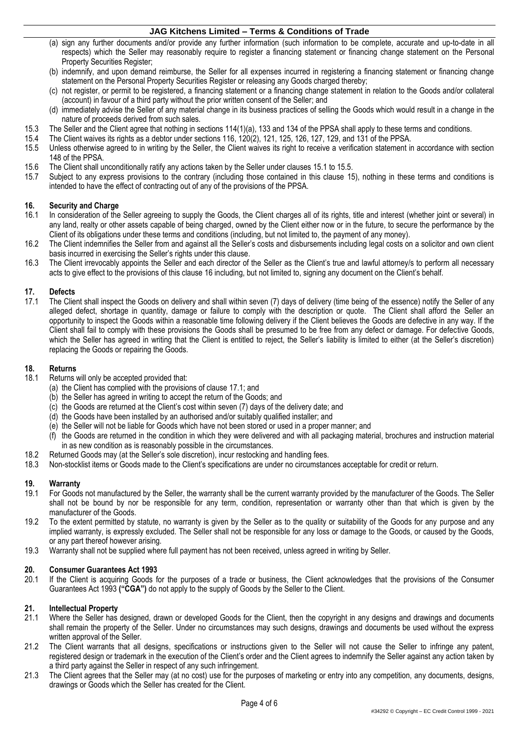- (a) sign any further documents and/or provide any further information (such information to be complete, accurate and up-to-date in all respects) which the Seller may reasonably require to register a financing statement or financing change statement on the Personal Property Securities Register;
- (b) indemnify, and upon demand reimburse, the Seller for all expenses incurred in registering a financing statement or financing change statement on the Personal Property Securities Register or releasing any Goods charged thereby;
- (c) not register, or permit to be registered, a financing statement or a financing change statement in relation to the Goods and/or collateral (account) in favour of a third party without the prior written consent of the Seller; and
- (d) immediately advise the Seller of any material change in its business practices of selling the Goods which would result in a change in the nature of proceeds derived from such sales.
- 15.3 The Seller and the Client agree that nothing in sections 114(1)(a), 133 and 134 of the PPSA shall apply to these terms and conditions.<br>15.4 The Client waives its rights as a debtor under sections 116, 120(2), 121, 125
- 15.4 The Client waives its rights as a debtor under sections 116, 120(2), 121, 125, 126, 127, 129, and 131 of the PPSA.
- <span id="page-3-0"></span>15.5 Unless otherwise agreed to in writing by the Seller, the Client waives its right to receive a verification statement in accordance with section 148 of the PPSA.
- 15.6 The Client shall unconditionally ratify any actions taken by the Seller under clause[s 15.1](#page-2-2) to [15.5.](#page-3-0)<br>15.7 Subject to any express provisions to the contrary (including those contained in this clause 15
- Subject to any express provisions to the contrary (including those contained in this clause [15\)](#page-2-3), nothing in these terms and conditions is intended to have the effect of contracting out of any of the provisions of the PPSA.

# <span id="page-3-1"></span>**16. Security and Charge**

- In consideration of the Seller agreeing to supply the Goods, the Client charges all of its rights, title and interest (whether joint or several) in any land, realty or other assets capable of being charged, owned by the Client either now or in the future, to secure the performance by the Client of its obligations under these terms and conditions (including, but not limited to, the payment of any money).
- 16.2 The Client indemnifies the Seller from and against all the Seller's costs and disbursements including legal costs on a solicitor and own client basis incurred in exercising the Seller's rights under this clause.
- 16.3 The Client irrevocably appoints the Seller and each director of the Seller as the Client's true and lawful attorney/s to perform all necessary acts to give effect to the provisions of this clause [16](#page-3-1) including, but not limited to, signing any document on the Client's behalf.

# **17. Defects**

<span id="page-3-2"></span>The Client shall inspect the Goods on delivery and shall within seven (7) days of delivery (time being of the essence) notify the Seller of any alleged defect, shortage in quantity, damage or failure to comply with the description or quote. The Client shall afford the Seller an opportunity to inspect the Goods within a reasonable time following delivery if the Client believes the Goods are defective in any way. If the Client shall fail to comply with these provisions the Goods shall be presumed to be free from any defect or damage. For defective Goods, which the Seller has agreed in writing that the Client is entitled to reject, the Seller's liability is limited to either (at the Seller's discretion) replacing the Goods or repairing the Goods.

## **18. Returns**

- Returns will only be accepted provided that:
	- (a) the Client has complied with the provisions of clause [17.1;](#page-3-2) and
	- (b) the Seller has agreed in writing to accept the return of the Goods; and
	- (c) the Goods are returned at the Client's cost within seven (7) days of the delivery date; and
	- (d) the Goods have been installed by an authorised and/or suitably qualified installer; and
	- (e) the Seller will not be liable for Goods which have not been stored or used in a proper manner; and
	- (f) the Goods are returned in the condition in which they were delivered and with all packaging material, brochures and instruction material in as new condition as is reasonably possible in the circumstances.
- 18.2 Returned Goods may (at the Seller's sole discretion), incur restocking and handling fees.
- 18.3 Non-stocklist items or Goods made to the Client's specifications are under no circumstances acceptable for credit or return.

## **19. Warranty**

- 19.1 For Goods not manufactured by the Seller, the warranty shall be the current warranty provided by the manufacturer of the Goods. The Seller shall not be bound by nor be responsible for any term, condition, representation or warranty other than that which is given by the manufacturer of the Goods.
- 19.2 To the extent permitted by statute, no warranty is given by the Seller as to the quality or suitability of the Goods for any purpose and any implied warranty, is expressly excluded. The Seller shall not be responsible for any loss or damage to the Goods, or caused by the Goods, or any part thereof however arising.
- 19.3 Warranty shall not be supplied where full payment has not been received, unless agreed in writing by Seller.

#### **20. Consumer Guarantees Act 1993**

20.1 If the Client is acquiring Goods for the purposes of a trade or business, the Client acknowledges that the provisions of the Consumer Guarantees Act 1993 **("CGA")** do not apply to the supply of Goods by the Seller to the Client.

#### **21. Intellectual Property**

- 21.1 Where the Seller has designed, drawn or developed Goods for the Client, then the copyright in any designs and drawings and documents shall remain the property of the Seller. Under no circumstances may such designs, drawings and documents be used without the express written approval of the Seller.
- 21.2 The Client warrants that all designs, specifications or instructions given to the Seller will not cause the Seller to infringe any patent, registered design or trademark in the execution of the Client's order and the Client agrees to indemnify the Seller against any action taken by a third party against the Seller in respect of any such infringement.
- 21.3 The Client agrees that the Seller may (at no cost) use for the purposes of marketing or entry into any competition, any documents, designs, drawings or Goods which the Seller has created for the Client.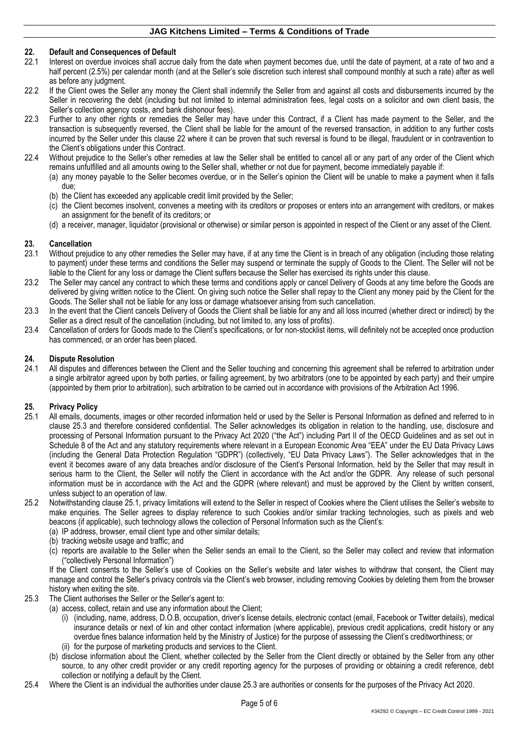## <span id="page-4-0"></span>**22. Default and Consequences of Default**

- Interest on overdue invoices shall accrue daily from the date when payment becomes due, until the date of payment, at a rate of two and a half percent (2.5%) per calendar month (and at the Seller's sole discretion such interest shall compound monthly at such a rate) after as well as before any judgment.
- 22.2 If the Client owes the Seller any money the Client shall indemnify the Seller from and against all costs and disbursements incurred by the Seller in recovering the debt (including but not limited to internal administration fees, legal costs on a solicitor and own client basis, the Seller's collection agency costs, and bank dishonour fees).
- 22.3 Further to any other rights or remedies the Seller may have under this Contract, if a Client has made payment to the Seller, and the transaction is subsequently reversed, the Client shall be liable for the amount of the reversed transaction, in addition to any further costs incurred by the Seller under this clause [22](#page-4-0) where it can be proven that such reversal is found to be illegal, fraudulent or in contravention to the Client's obligations under this Contract.
- 22.4 Without prejudice to the Seller's other remedies at law the Seller shall be entitled to cancel all or any part of any order of the Client which remains unfulfilled and all amounts owing to the Seller shall, whether or not due for payment, become immediately payable if: (a) any money payable to the Seller becomes overdue, or in the Seller's opinion the Client will be unable to make a payment when it falls
	- due; (b) the Client has exceeded any applicable credit limit provided by the Seller;
	- (c) the Client becomes insolvent, convenes a meeting with its creditors or proposes or enters into an arrangement with creditors, or makes an assignment for the benefit of its creditors; or
	- (d) a receiver, manager, liquidator (provisional or otherwise) or similar person is appointed in respect of the Client or any asset of the Client.

## <span id="page-4-4"></span>**23. Cancellation**

- <span id="page-4-3"></span>23.1 Without prejudice to any other remedies the Seller may have, if at any time the Client is in breach of any obligation (including those relating to payment) under these terms and conditions the Seller may suspend or terminate the supply of Goods to the Client. The Seller will not be liable to the Client for any loss or damage the Client suffers because the Seller has exercised its rights under this clause.
- 23.2 The Seller may cancel any contract to which these terms and conditions apply or cancel Delivery of Goods at any time before the Goods are delivered by giving written notice to the Client. On giving such notice the Seller shall repay to the Client any money paid by the Client for the Goods. The Seller shall not be liable for any loss or damage whatsoever arising from such cancellation.
- 23.3 In the event that the Client cancels Delivery of Goods the Client shall be liable for any and all loss incurred (whether direct or indirect) by the Seller as a direct result of the cancellation (including, but not limited to, any loss of profits).
- 23.4 Cancellation of orders for Goods made to the Client's specifications, or for non-stocklist items, will definitely not be accepted once production has commenced, or an order has been placed.

#### **24. Dispute Resolution**

24.1 All disputes and differences between the Client and the Seller touching and concerning this agreement shall be referred to arbitration under a single arbitrator agreed upon by both parties, or failing agreement, by two arbitrators (one to be appointed by each party) and their umpire (appointed by them prior to arbitration), such arbitration to be carried out in accordance with provisions of the Arbitration Act 1996.

## **25. Privacy Policy**

- <span id="page-4-2"></span>All emails, documents, images or other recorded information held or used by the Seller is Personal Information as defined and referred to in clause [25.3](#page-4-1) and therefore considered confidential. The Seller acknowledges its obligation in relation to the handling, use, disclosure and processing of Personal Information pursuant to the Privacy Act 2020 ("the Act") including Part II of the OECD Guidelines and as set out in Schedule 8 of the Act and any statutory requirements where relevant in a European Economic Area "EEA" under the EU Data Privacy Laws (including the General Data Protection Regulation "GDPR") (collectively, "EU Data Privacy Laws"). The Seller acknowledges that in the event it becomes aware of any data breaches and/or disclosure of the Client's Personal Information, held by the Seller that may result in serious harm to the Client, the Seller will notify the Client in accordance with the Act and/or the GDPR. Any release of such personal information must be in accordance with the Act and the GDPR (where relevant) and must be approved by the Client by written consent, unless subject to an operation of law.
- 25.2 Notwithstanding clause [25.1,](#page-4-2) privacy limitations will extend to the Seller in respect of Cookies where the Client utilises the Seller's website to make enquiries. The Seller agrees to display reference to such Cookies and/or similar tracking technologies, such as pixels and web beacons (if applicable), such technology allows the collection of Personal Information such as the Client's:
	- (a) IP address, browser, email client type and other similar details;
	- (b) tracking website usage and traffic; and
	- (c) reports are available to the Seller when the Seller sends an email to the Client, so the Seller may collect and review that information ("collectively Personal Information")

If the Client consents to the Seller's use of Cookies on the Seller's website and later wishes to withdraw that consent, the Client may manage and control the Seller's privacy controls via the Client's web browser, including removing Cookies by deleting them from the browser history when exiting the site.

- <span id="page-4-1"></span>25.3 The Client authorises the Seller or the Seller's agent to:
	- (a) access, collect, retain and use any information about the Client;
		- (i) (including, name, address, D.O.B, occupation, driver's license details, electronic contact (email, Facebook or Twitter details), medical insurance details or next of kin and other contact information (where applicable), previous credit applications, credit history or any overdue fines balance information held by the Ministry of Justice) for the purpose of assessing the Client's creditworthiness; or (ii) for the purpose of marketing products and services to the Client.
		- (b) disclose information about the Client, whether collected by the Seller from the Client directly or obtained by the Seller from any other source, to any other credit provider or any credit reporting agency for the purposes of providing or obtaining a credit reference, debt collection or notifying a default by the Client.
- 25.4 Where the Client is an individual the authorities under clause [25.3](#page-4-1) are authorities or consents for the purposes of the Privacy Act 2020.